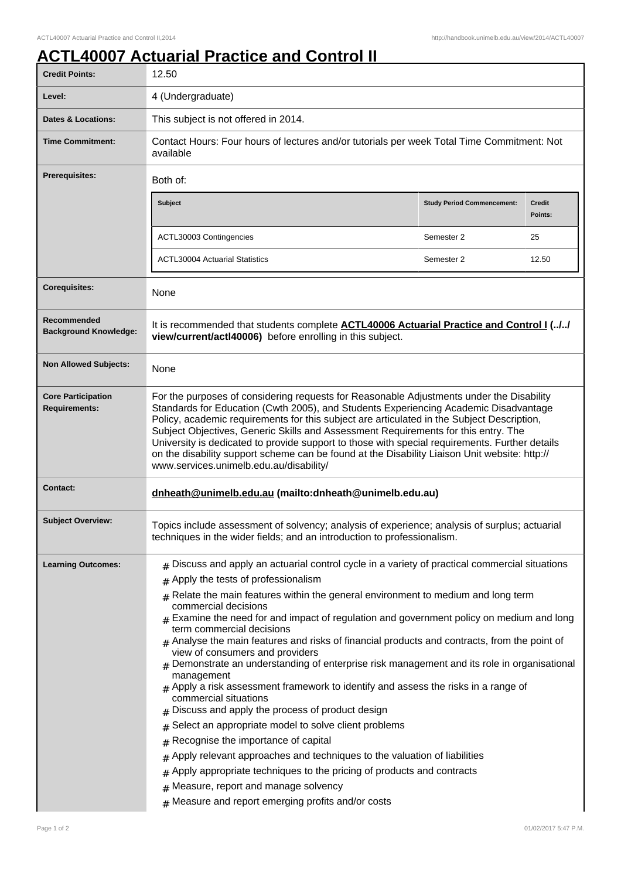## **ACTL40007 Actuarial Practice and Control II**

| <b>Credit Points:</b>                             | 12.50                                                                                                                                                                                                                                                                                                                                                                                                                                                                                                                                                                                                                                                                                                                                                                                                                                                                                                                                                                                                                                                                                                                                                                            |                                   |                          |
|---------------------------------------------------|----------------------------------------------------------------------------------------------------------------------------------------------------------------------------------------------------------------------------------------------------------------------------------------------------------------------------------------------------------------------------------------------------------------------------------------------------------------------------------------------------------------------------------------------------------------------------------------------------------------------------------------------------------------------------------------------------------------------------------------------------------------------------------------------------------------------------------------------------------------------------------------------------------------------------------------------------------------------------------------------------------------------------------------------------------------------------------------------------------------------------------------------------------------------------------|-----------------------------------|--------------------------|
| Level:                                            | 4 (Undergraduate)                                                                                                                                                                                                                                                                                                                                                                                                                                                                                                                                                                                                                                                                                                                                                                                                                                                                                                                                                                                                                                                                                                                                                                |                                   |                          |
| <b>Dates &amp; Locations:</b>                     | This subject is not offered in 2014.                                                                                                                                                                                                                                                                                                                                                                                                                                                                                                                                                                                                                                                                                                                                                                                                                                                                                                                                                                                                                                                                                                                                             |                                   |                          |
| <b>Time Commitment:</b>                           | Contact Hours: Four hours of lectures and/or tutorials per week Total Time Commitment: Not<br>available                                                                                                                                                                                                                                                                                                                                                                                                                                                                                                                                                                                                                                                                                                                                                                                                                                                                                                                                                                                                                                                                          |                                   |                          |
| <b>Prerequisites:</b>                             | Both of:                                                                                                                                                                                                                                                                                                                                                                                                                                                                                                                                                                                                                                                                                                                                                                                                                                                                                                                                                                                                                                                                                                                                                                         |                                   |                          |
|                                                   | <b>Subject</b>                                                                                                                                                                                                                                                                                                                                                                                                                                                                                                                                                                                                                                                                                                                                                                                                                                                                                                                                                                                                                                                                                                                                                                   | <b>Study Period Commencement:</b> | <b>Credit</b><br>Points: |
|                                                   | ACTL30003 Contingencies                                                                                                                                                                                                                                                                                                                                                                                                                                                                                                                                                                                                                                                                                                                                                                                                                                                                                                                                                                                                                                                                                                                                                          | Semester 2                        | 25                       |
|                                                   | <b>ACTL30004 Actuarial Statistics</b>                                                                                                                                                                                                                                                                                                                                                                                                                                                                                                                                                                                                                                                                                                                                                                                                                                                                                                                                                                                                                                                                                                                                            | Semester 2                        | 12.50                    |
| <b>Corequisites:</b>                              | <b>None</b>                                                                                                                                                                                                                                                                                                                                                                                                                                                                                                                                                                                                                                                                                                                                                                                                                                                                                                                                                                                                                                                                                                                                                                      |                                   |                          |
| Recommended<br><b>Background Knowledge:</b>       | It is recommended that students complete <b>ACTL40006 Actuarial Practice and Control I (//</b><br>view/current/actl40006) before enrolling in this subject.                                                                                                                                                                                                                                                                                                                                                                                                                                                                                                                                                                                                                                                                                                                                                                                                                                                                                                                                                                                                                      |                                   |                          |
| <b>Non Allowed Subjects:</b>                      | None                                                                                                                                                                                                                                                                                                                                                                                                                                                                                                                                                                                                                                                                                                                                                                                                                                                                                                                                                                                                                                                                                                                                                                             |                                   |                          |
| <b>Core Participation</b><br><b>Requirements:</b> | For the purposes of considering requests for Reasonable Adjustments under the Disability<br>Standards for Education (Cwth 2005), and Students Experiencing Academic Disadvantage<br>Policy, academic requirements for this subject are articulated in the Subject Description,<br>Subject Objectives, Generic Skills and Assessment Requirements for this entry. The<br>University is dedicated to provide support to those with special requirements. Further details<br>on the disability support scheme can be found at the Disability Liaison Unit website: http://<br>www.services.unimelb.edu.au/disability/                                                                                                                                                                                                                                                                                                                                                                                                                                                                                                                                                               |                                   |                          |
| <b>Contact:</b>                                   | dnheath@unimelb.edu.au (mailto:dnheath@unimelb.edu.au)                                                                                                                                                                                                                                                                                                                                                                                                                                                                                                                                                                                                                                                                                                                                                                                                                                                                                                                                                                                                                                                                                                                           |                                   |                          |
| <b>Subject Overview:</b>                          | Topics include assessment of solvency; analysis of experience; analysis of surplus; actuarial<br>techniques in the wider fields; and an introduction to professionalism.                                                                                                                                                                                                                                                                                                                                                                                                                                                                                                                                                                                                                                                                                                                                                                                                                                                                                                                                                                                                         |                                   |                          |
| <b>Learning Outcomes:</b>                         | $#$ Discuss and apply an actuarial control cycle in a variety of practical commercial situations<br>Apply the tests of professionalism<br>#<br>$#$ Relate the main features within the general environment to medium and long term<br>commercial decisions<br>$#$ Examine the need for and impact of regulation and government policy on medium and long<br>term commercial decisions<br>$_{\#}$ Analyse the main features and risks of financial products and contracts, from the point of<br>view of consumers and providers<br>Demonstrate an understanding of enterprise risk management and its role in organisational<br>management<br>$#$ Apply a risk assessment framework to identify and assess the risks in a range of<br>commercial situations<br>Discuss and apply the process of product design<br>Select an appropriate model to solve client problems<br>Recognise the importance of capital<br>#<br>Apply relevant approaches and techniques to the valuation of liabilities<br>#<br>Apply appropriate techniques to the pricing of products and contracts<br>#<br>Measure, report and manage solvency<br>#<br>Measure and report emerging profits and/or costs |                                   |                          |